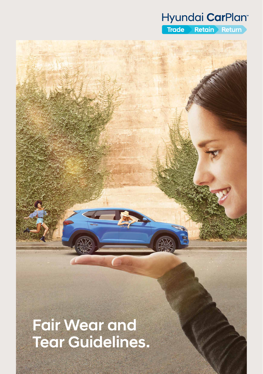# Hyundai CarPlan

**Trade** Retain Return



# Fair Wear and Tear Guidelines.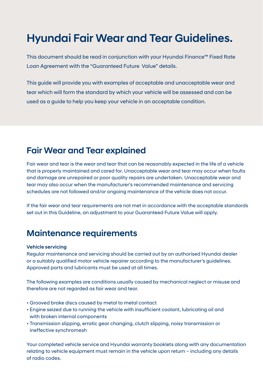# Hyundai Fair Wear and Tear Guidelines.

This document should be read in conjunction with your Hyundai Finance™ Fixed Rate Loan Agreement with the "Guaranteed Future Value" details.

This guide will provide you with examples of acceptable and unacceptable wear and tear which will form the standard by which your vehicle will be assessed and can be used as a guide to help you keep your vehicle in an acceptable condition.

### Fair Wear and Tear explained

Fair wear and tear is the wear and tear that can be reasonably expected in the life of a vehicle that is properly maintained and cared for. Unacceptable wear and tear may occur when faults and damage are unrepaired or poor quality repairs are undertaken. Unacceptable wear and tear may also occur when the manufacturer's recommended maintenance and servicing schedules are not followed and/or ongoing maintenance of the vehicle does not occur.

If the fair wear and tear requirements are not met in accordance with the acceptable standards set out in this Guideline, an adjustment to your Guaranteed Future Value will apply.

# Maintenance requirements

#### Vehicle servicing

Regular maintenance and servicing should be carried out by an authorised Hyundai dealer or a suitably qualified motor vehicle repairer according to the manufacturer's guidelines. Approved parts and lubricants must be used at all times.

The following examples are conditions usually caused by mechanical neglect or misuse and therefore are not regarded as fair wear and tear.

- Grooved brake discs caused by metal to metal contact
- Engine seized due to running the vehicle with insufficient coolant, lubricating oil and with broken internal components
- Transmission slipping, erratic gear changing, clutch slipping, noisy transmission or ineffective synchromesh

Your completed vehicle service and Hyundai warranty booklets along with any documentation relating to vehicle equipment must remain in the vehicle upon return – including any details of radio codes.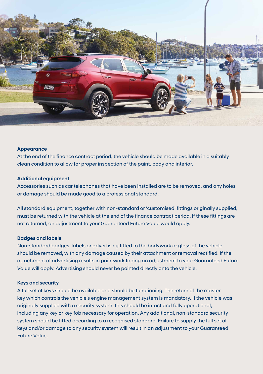

#### Appearance

At the end of the finance contract period, the vehicle should be made available in a suitably clean condition to allow for proper inspection of the paint, body and interior.

#### Additional equipment

Accessories such as car telephones that have been installed are to be removed, and any holes or damage should be made good to a professional standard.

All standard equipment, together with non-standard or 'customised' fittings originally supplied, must be returned with the vehicle at the end of the finance contract period. If these fittings are not returned, an adjustment to your Guaranteed Future Value would apply.

#### Badges and labels

Non-standard badges, labels or advertising fitted to the bodywork or glass of the vehicle should be removed, with any damage caused by their attachment or removal rectified. If the attachment of advertising results in paintwork fading an adjustment to your Guaranteed Future Value will apply. Advertising should never be painted directly onto the vehicle.

#### Keys and security

A full set of keys should be available and should be functioning. The return of the master key which controls the vehicle's engine management system is mandatory. If the vehicle was originally supplied with a security system, this should be intact and fully operational, including any key or key fob necessary for operation. Any additional, non-standard security system should be fitted according to a recognised standard. Failure to supply the full set of keys and/or damage to any security system will result in an adjustment to your Guaranteed Future Value.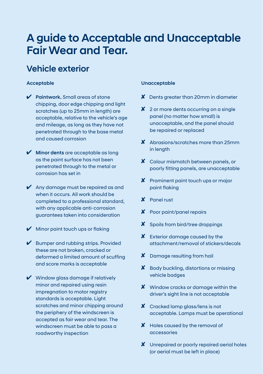# A guide to Acceptable and Unacceptable Fair Wear and Tear.

### Vehicle exterior

#### Acceptable

- $\mathcal V$  Paintwork. Small areas of stone chipping, door edge chipping and light scratches (up to 25mm in length) are acceptable, relative to the vehicle's age and mileage, as long as they have not penetrated through to the base metal and caused corrosion
- $\mathcal V$  Minor dents are acceptable as long as the paint surface has not been penetrated through to the metal or corrosion has set in
- $\mathcal V$  Any damage must be repaired as and when it occurs. All work should be completed to a professional standard, with any applicable anti-corrosion guarantees taken into consideration
- $\mathcal V$  Minor paint touch ups or flaking
- $\mathcal V$  Bumper and rubbing strips. Provided these are not broken, cracked or deformed a limited amount of scuffing and score marks is acceptable
- $\vee$  Window glass damage if relatively minor and repaired using resin impregnation to motor registry standards is acceptable. Light scratches and minor chipping around the periphery of the windscreen is accepted as fair wear and tear. The windscreen must be able to pass a roadworthy inspection

#### Unacceptable

- $\boldsymbol{X}$  Dents greater than 20mm in diameter
- $\boldsymbol{X}$  2 or more dents occurring on a single panel (no matter how small) is unacceptable, and the panel should be repaired or replaced
- Abrasions/scratches more than 25mm in length
- **X** Colour mismatch between panels, or poorly fitting panels, are unacceptable
- $\boldsymbol{X}$  Prominent paint touch ups or major paint flaking
- Panel rust
- X Poor paint/panel repairs
- $x$  Spoils from bird/tree droppings
- $\boldsymbol{X}$  Exterior damage caused by the attachment/removal of stickers/decals
- X Damage resulting from hail
- $\boldsymbol{X}$  Body buckling, distortions or missing vehicle badges
- $\boldsymbol{X}$  Window cracks or damage within the driver's sight line is not acceptable
- X Cracked lamp glass/lens is not acceptable. Lamps must be operational
- $\boldsymbol{X}$  Holes caused by the removal of accessories
- X Unrepaired or poorly repaired aerial holes (or aerial must be left in place)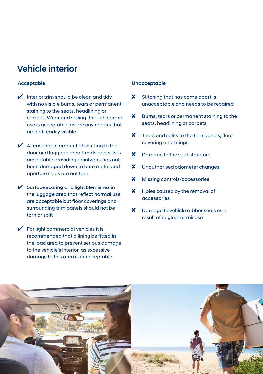### Vehicle interior

#### Acceptable

- $\mathcal V$  Interior trim should be clean and tidy with no visible burns, tears or permanent staining to the seats, headlining or carpets. Wear and soiling through normal use is acceptable, as are any repairs that are not readily visible
- $\mathcal V$  A reasonable amount of scuffing to the door and luggage area treads and sills is acceptable providing paintwork has not been damaged down to bare metal and aperture seals are not torn
- $\mathcal V$  Surface scoring and light blemishes in the luggage area that reflect normal use are acceptable but floor coverings and surrounding trim panels should not be torn or split
- $\checkmark$  For light commercial vehicles it is recommended that a lining be fitted in the load area to prevent serious damage to the vehicle's interior, as excessive damage to this area is unacceptable

#### Unacceptable

- $x$  Stitching that has come apart is unacceptable and needs to be repaired
- $x$  Burns, tears or permanent staining to the seats, headlining or carpets
- X Tears and splits to the trim panels, floor covering and linings
- X Damage to the seat structure
- X Unauthorised odometer changes
- X Missing controls/accessories
- X Holes caused by the removal of accessories
- $\boldsymbol{X}$  Damage to vehicle rubber seals as a result of neglect or misuse

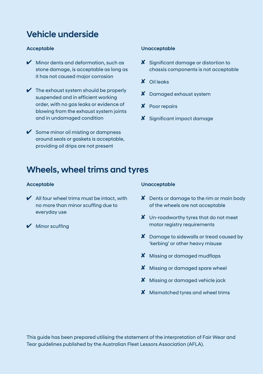# Vehicle underside

#### Acceptable

- $\mathcal V$  Minor dents and deformation, such as stone damage, is acceptable as long as it has not caused major corrosion
- $\mathcal V$  The exhaust system should be properly suspended and in efficient working order, with no gas leaks or evidence of blowing from the exhaust system joints and in undamaged condition
- $\checkmark$  Some minor oil misting or dampness around seals or gaskets is acceptable, providing oil drips are not present

#### Unacceptable

- $\boldsymbol{X}$  Significant damage or distortion to chassis components is not acceptable
- X Oilleaks
- $\boldsymbol{X}$  Damaged exhaust system
- X Poor repairs
- $x$  Significant impact damage

### Wheels, wheel trims and tyres

#### Acceptable

- $\mathcal V$  All four wheel trims must be intact, with no more than minor scuffing due to everyday use
- $\mathcal V$  Minor scuffing

#### Unacceptable

- X Dents or damage to the rim or main body of the wheels are not acceptable
- $\boldsymbol{X}$  Un-roadworthy tyres that do not meet motor registry requirements
- $\boldsymbol{X}$  Damage to sidewalls or tread caused by 'kerbing' or other heavy misuse
- **X** Missing or damaged mudflaps
- $\boldsymbol{X}$  Missing or damaged spare wheel
- **X** Missing or damaged vehicle jack
- $\boldsymbol{X}$  Mismatched tyres and wheel trims

This guide has been prepared utilising the statement of the interpretation of Fair Wear and Tear guidelines published by the Australian Fleet Lessors Association (AFLA).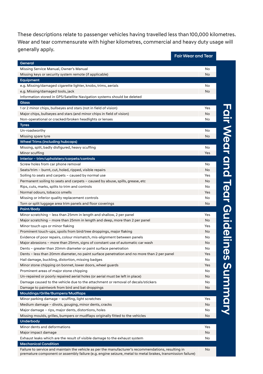These descriptions relate to passenger vehicles having travelled less than100,000 kilometres. Wear and tear commensurate with higher kilometres, commercial and heavy duty usage will generally apply.

|                                                                                                                                                                                                                   | <u>Fair Wear</u> and Tear |                                     |
|-------------------------------------------------------------------------------------------------------------------------------------------------------------------------------------------------------------------|---------------------------|-------------------------------------|
| General                                                                                                                                                                                                           |                           |                                     |
| Missing Service Manual, Owner's Manual                                                                                                                                                                            | No                        |                                     |
| Missing keys or security system remote (if applicable)                                                                                                                                                            | No                        |                                     |
| Equipment                                                                                                                                                                                                         |                           |                                     |
| e.g. Missing/damaged cigarette lighter, knobs, trims, aerials                                                                                                                                                     | No                        |                                     |
| e.g. Missing/damaged tools, jack                                                                                                                                                                                  | No                        |                                     |
| Information stored in GPS/Satellite Navigation systems should be deleted                                                                                                                                          |                           |                                     |
| <b>Glass</b>                                                                                                                                                                                                      |                           |                                     |
| 1 or 2 minor chips, bullseyes and stars (not in field of vision)                                                                                                                                                  | Yes                       |                                     |
| Major chips, bullseyes and stars (and minor chips in field of vision)                                                                                                                                             | No                        |                                     |
| Non-operational or cracked/broken headlights or lenses                                                                                                                                                            | No                        |                                     |
| <b>Tyres</b>                                                                                                                                                                                                      |                           |                                     |
| Un-roadworthy                                                                                                                                                                                                     | No                        |                                     |
| Missing spare tyre                                                                                                                                                                                                | <b>No</b>                 |                                     |
| <b>Wheel Trims (including hubcaps)</b>                                                                                                                                                                            |                           |                                     |
| Missing, split, badly disfigured, heavy scuffing                                                                                                                                                                  | No                        |                                     |
| Minor scuffing                                                                                                                                                                                                    | Yes                       |                                     |
| Interior - trim/upholstery/carpets/controls                                                                                                                                                                       |                           |                                     |
| Screw holes from car phone removal                                                                                                                                                                                | No                        |                                     |
| Seats/trim - burnt, cut, holed, ripped, visible repairs                                                                                                                                                           | No                        |                                     |
| Soiling to seats and carpets - caused by normal use                                                                                                                                                               | Yes                       |                                     |
| Permanent soiling to seats and carpets - caused by abuse, spills, grease, etc                                                                                                                                     | No                        |                                     |
| Rips, cuts, marks, splits to trim and controls                                                                                                                                                                    | No                        |                                     |
| Normal odours, tobacco smells                                                                                                                                                                                     | Yes                       |                                     |
| Missing or inferior quality replacement controls                                                                                                                                                                  | No                        |                                     |
| Torn or split luggage area trim panels and floor coverings                                                                                                                                                        | No                        |                                     |
| Paint/Body                                                                                                                                                                                                        |                           | Fair Wear and Tear Guidelines Summa |
| Minor scratching - less than 25mm in length and shallow, 2 per panel                                                                                                                                              | Yes                       |                                     |
| Major scratching - more than 25mm in length and deep, more than 2 per panel                                                                                                                                       | No                        |                                     |
| Minor touch ups or minor flaking                                                                                                                                                                                  | Yes                       |                                     |
| Prominent touch-ups, spoils from bird/tree droppings, major flaking                                                                                                                                               | No                        |                                     |
| Evidence of poor repairs, colour mismatch, mis-alignment between panels                                                                                                                                           | No                        |                                     |
| Major abrasions - more than 25mm, signs of constant use of automatic car wash                                                                                                                                     | No                        |                                     |
| Dents - greater than 20mm diameter or paint surface penetration                                                                                                                                                   | No                        |                                     |
| Dents - less than 20mm diameter, no paint surface penetration and no more than 2 per panel                                                                                                                        | Yes                       |                                     |
| Hail damage, buckling, distortion, missing badges                                                                                                                                                                 | No                        |                                     |
| Minor stone chipping on bonnet, lower doors, wheel guards                                                                                                                                                         | Yes                       |                                     |
| Prominent areas of major stone chipping                                                                                                                                                                           | No                        |                                     |
| Un-repaired or poorly repaired aerial holes (or aerial must be left in place)                                                                                                                                     | No                        |                                     |
| Damage caused to the vehicle due to the attachment or removal of decals/stickers                                                                                                                                  | No                        |                                     |
| Damage to paintwork from bird and bat droppings                                                                                                                                                                   | No                        |                                     |
| Mouldings/Grille/Bumpers/Mudflaps                                                                                                                                                                                 |                           |                                     |
| Minor parking damage - scuffing, light scratches                                                                                                                                                                  | Yes                       |                                     |
| Medium damage - divots, gouging, minor dents, cracks                                                                                                                                                              | No                        |                                     |
| Major damage - rips, major dents, distortions, holes                                                                                                                                                              | No                        |                                     |
| Missing moulds, grilles, bumpers or mudflaps originally fitted to the vehicles                                                                                                                                    | No                        |                                     |
| <b>Underbody</b>                                                                                                                                                                                                  |                           |                                     |
| Minor dents and deformations                                                                                                                                                                                      | Yes                       |                                     |
| Major impact damage                                                                                                                                                                                               | <b>No</b>                 |                                     |
| Exhaust leaks which are the result of visible damage to the exhaust system                                                                                                                                        | No                        |                                     |
| <b>Mechanical Condition</b>                                                                                                                                                                                       |                           |                                     |
| Failure to service and maintain the vehicle as per the manufacturer's recommendations, resulting in<br>premature component or assembly failure (e.g. engine seizure, metal to metal brakes, transmission failure) | No                        |                                     |